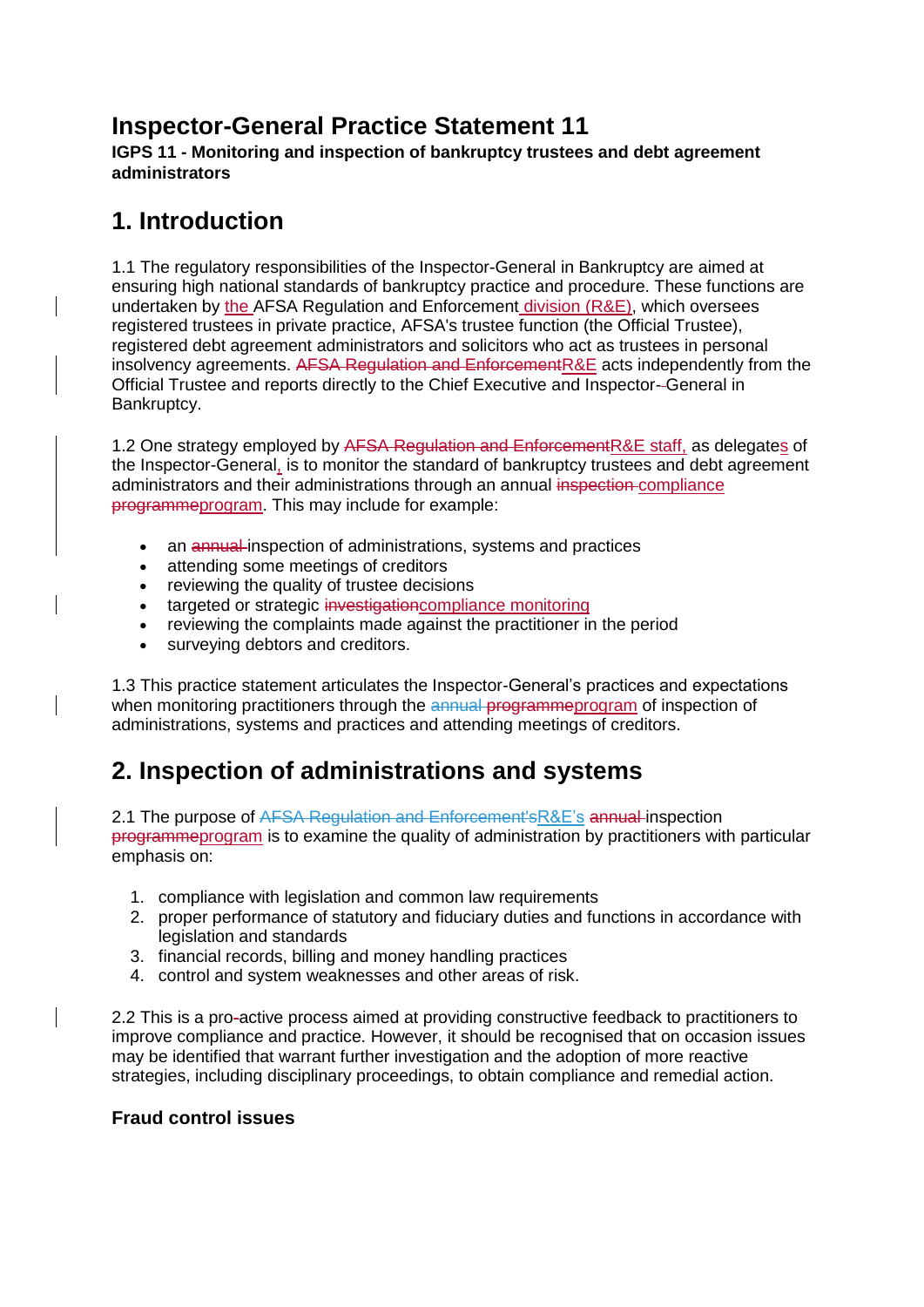## **Inspector-General Practice Statement 11**

**IGPS 11 - Monitoring and inspection of bankruptcy trustees and debt agreement administrators**

## **1. Introduction**

1.1 The regulatory responsibilities of the Inspector-General in Bankruptcy are aimed at ensuring high national standards of bankruptcy practice and procedure. These functions are undertaken by the AFSA Regulation and Enforcement division (R&E), which oversees registered trustees in private practice, AFSA's trustee function (the Official Trustee), registered debt agreement administrators and solicitors who act as trustees in personal insolvency agreements. AFSA Regulation and EnforcementR&E acts independently from the Official Trustee and reports directly to the Chief Executive and Inspector- General in Bankruptcy.

1.2 One strategy employed by AFSA Regulation and Enforcement R&E staff, as delegates of the Inspector-General, is to monitor the standard of bankruptcy trustees and debt agreement administrators and their administrations through an annual inspection compliance programmeprogram. This may include for example:

- an annual inspection of administrations, systems and practices
- attending some meetings of creditors
- reviewing the quality of trustee decisions
- targeted or strategic investigation compliance monitoring
- reviewing the complaints made against the practitioner in the period
- surveying debtors and creditors.

1.3 This practice statement articulates the Inspector-General's practices and expectations when monitoring practitioners through the annual programmeprogram of inspection of administrations, systems and practices and attending meetings of creditors.

## **2. Inspection of administrations and systems**

2.1 The purpose of AFSA Regulation and Enforcement'sR&E's annual inspection programmeprogram is to examine the quality of administration by practitioners with particular emphasis on:

- 1. compliance with legislation and common law requirements
- 2. proper performance of statutory and fiduciary duties and functions in accordance with legislation and standards
- 3. financial records, billing and money handling practices
- 4. control and system weaknesses and other areas of risk.

2.2 This is a pro-active process aimed at providing constructive feedback to practitioners to improve compliance and practice. However, it should be recognised that on occasion issues may be identified that warrant further investigation and the adoption of more reactive strategies, including disciplinary proceedings, to obtain compliance and remedial action.

## **Fraud control issues**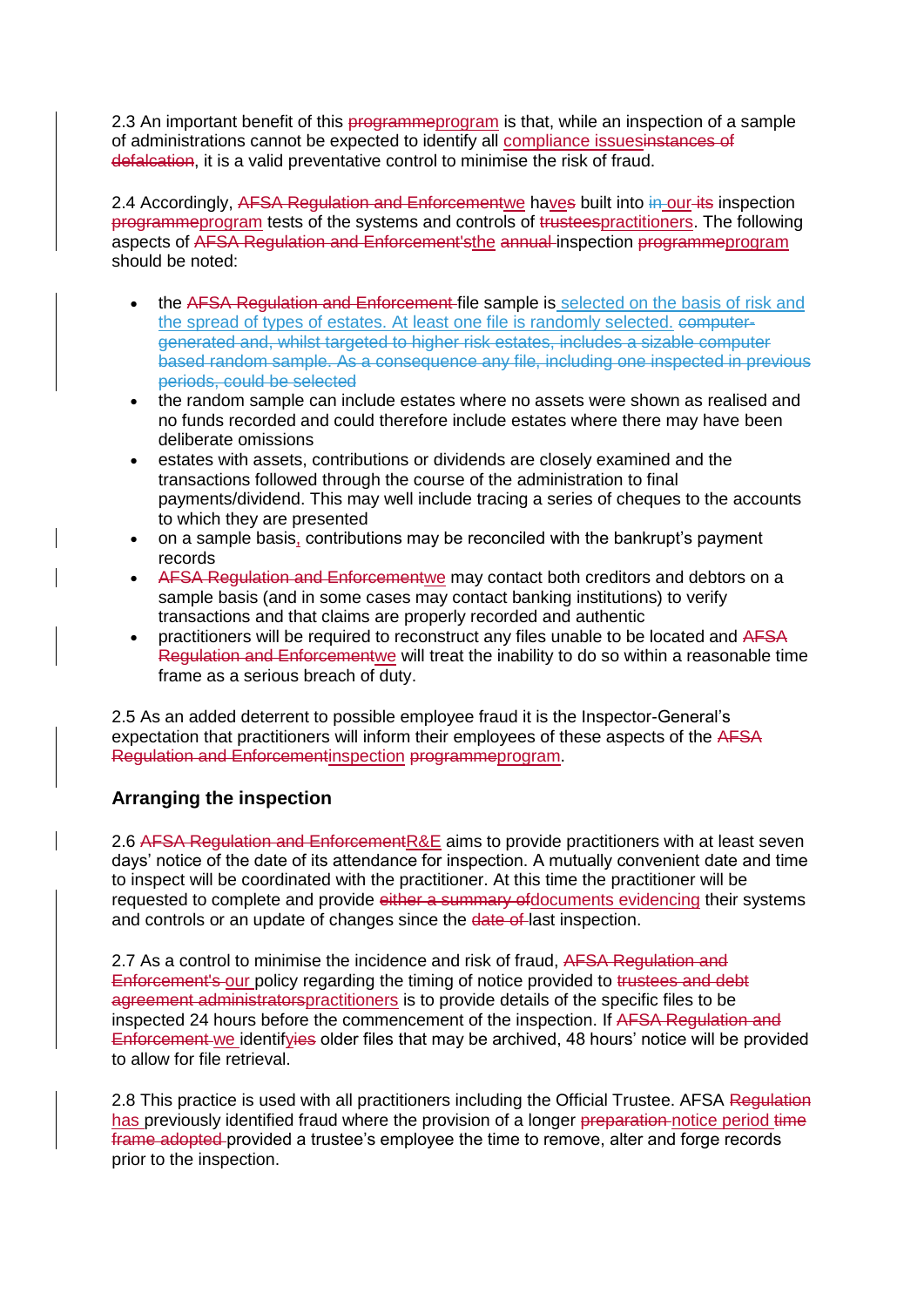2.3 An important benefit of this programmeprogram is that, while an inspection of a sample of administrations cannot be expected to identify all compliance issuesinstances of defalcation, it is a valid preventative control to minimise the risk of fraud.

2.4 Accordingly, AFSA Regulation and Enforcementwe haves built into in-our-its inspection programmeprogram tests of the systems and controls of trusteespractitioners. The following aspects of AFSA Regulation and Enforcement'sthe annual inspection programmeprogram should be noted:

- the AFSA Regulation and Enforcement file sample is selected on the basis of risk and the spread of types of estates. At least one file is randomly selected. computergenerated and, whilst targeted to higher risk estates, includes a sizable computer based random sample. As a consequence any file, including one inspected in previous periods, could be selected
- the random sample can include estates where no assets were shown as realised and no funds recorded and could therefore include estates where there may have been deliberate omissions
- estates with assets, contributions or dividends are closely examined and the transactions followed through the course of the administration to final payments/dividend. This may well include tracing a series of cheques to the accounts to which they are presented
- on a sample basis, contributions may be reconciled with the bankrupt's payment records
- AFSA Regulation and Enforcementwe may contact both creditors and debtors on a sample basis (and in some cases may contact banking institutions) to verify transactions and that claims are properly recorded and authentic
- practitioners will be required to reconstruct any files unable to be located and AFSA Regulation and Enforcementwe will treat the inability to do so within a reasonable time frame as a serious breach of duty.

2.5 As an added deterrent to possible employee fraud it is the Inspector-General's expectation that practitioners will inform their employees of these aspects of the AFSA Regulation and Enforcementinspection programmeprogram.

## **Arranging the inspection**

2.6 AFSA Regulation and EnforcementR&E aims to provide practitioners with at least seven days' notice of the date of its attendance for inspection. A mutually convenient date and time to inspect will be coordinated with the practitioner. At this time the practitioner will be requested to complete and provide either a summary of documents evidencing their systems and controls or an update of changes since the date of last inspection.

2.7 As a control to minimise the incidence and risk of fraud, AFSA Regulation and Enforcement's our policy regarding the timing of notice provided to trustees and debt agreement administratorspractitioners is to provide details of the specific files to be inspected 24 hours before the commencement of the inspection. If AFSA Regulation and Enforcement we identifyies older files that may be archived, 48 hours' notice will be provided to allow for file retrieval.

2.8 This practice is used with all practitioners including the Official Trustee. AFSA Regulation has previously identified fraud where the provision of a longer preparation notice period time frame adopted provided a trustee's employee the time to remove, alter and forge records prior to the inspection.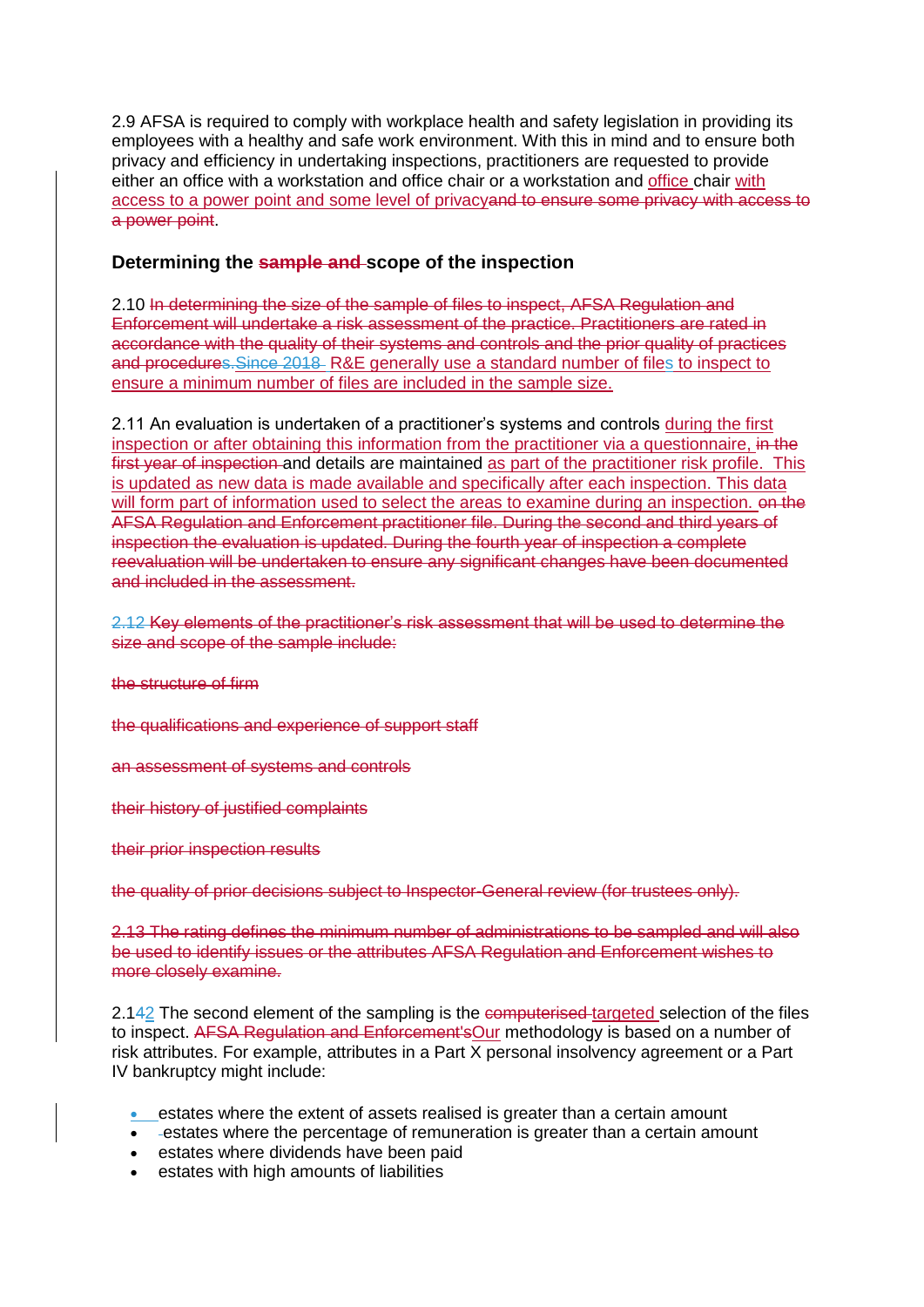2.9 AFSA is required to comply with workplace health and safety legislation in providing its employees with a healthy and safe work environment. With this in mind and to ensure both privacy and efficiency in undertaking inspections, practitioners are requested to provide either an office with a workstation and office chair or a workstation and office chair with access to a power point and some level of privacyand to ensure some privacy with access to a power point.

## **Determining the sample and scope of the inspection**

2.10 In determining the size of the sample of files to inspect, AFSA Regulation and Enforcement will undertake a risk assessment of the practice. Practitioners are rated in accordance with the quality of their systems and controls and the prior quality of practices and procedures.Since 2018 R&E generally use a standard number of files to inspect to ensure a minimum number of files are included in the sample size.

2.11 An evaluation is undertaken of a practitioner's systems and controls during the first inspection or after obtaining this information from the practitioner via a questionnaire, in the first year of inspection and details are maintained as part of the practitioner risk profile. This is updated as new data is made available and specifically after each inspection. This data will form part of information used to select the areas to examine during an inspection. on the AFSA Regulation and Enforcement practitioner file. During the second and third years of inspection the evaluation is updated. During the fourth year of inspection a complete reevaluation will be undertaken to ensure any significant changes have been documented and included in the assessment.

2.12 Key elements of the practitioner's risk assessment that will be used to determine the size and scope of the sample include:

the structure of firm

the qualifications and experience of support staff

an assessment of systems and controls

their history of justified complaints

their prior inspection results

the quality of prior decisions subject to Inspector-General review (for trustees only).

2.13 The rating defines the minimum number of administrations to be sampled and will also be used to identify issues or the attributes AFSA Regulation and Enforcement wishes to more closely examine.

2.142 The second element of the sampling is the computerised targeted selection of the files to inspect. AFSA Regulation and Enforcement'sOur methodology is based on a number of risk attributes. For example, attributes in a Part  $\overline{X}$  personal insolvency agreement or a Part IV bankruptcy might include:

- estates where the extent of assets realised is greater than a certain amount
- estates where the percentage of remuneration is greater than a certain amount
- **e** estates where dividends have been paid
- estates with high amounts of liabilities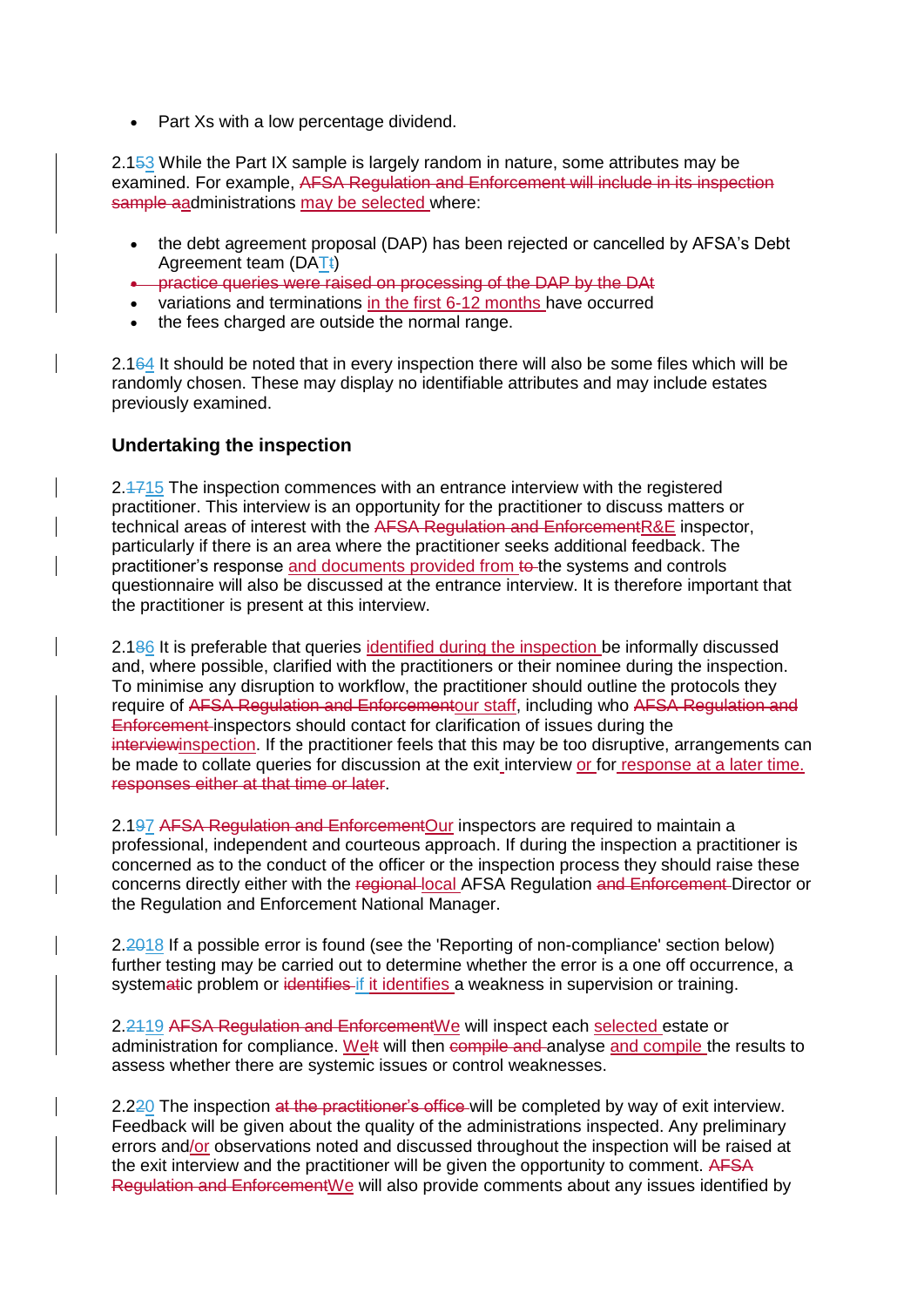• Part Xs with a low percentage dividend.

2.153 While the Part IX sample is largely random in nature, some attributes may be examined. For example, AFSA Regulation and Enforcement will include in its inspection sample aadministrations may be selected where:

- the debt agreement proposal (DAP) has been rejected or cancelled by AFSA's Debt Agreement team (DATt)
- **•** practice queries were raised on processing of the DAP by the DAt
- variations and terminations in the first 6-12 months have occurred
- the fees charged are outside the normal range.

2.164 It should be noted that in every inspection there will also be some files which will be randomly chosen. These may display no identifiable attributes and may include estates previously examined.

### **Undertaking the inspection**

2.1715 The inspection commences with an entrance interview with the registered practitioner. This interview is an opportunity for the practitioner to discuss matters or technical areas of interest with the AFSA Regulation and EnforcementR&E inspector, particularly if there is an area where the practitioner seeks additional feedback. The practitioner's response and documents provided from to the systems and controls questionnaire will also be discussed at the entrance interview. It is therefore important that the practitioner is present at this interview.

2.186 It is preferable that queries identified during the inspection be informally discussed and, where possible, clarified with the practitioners or their nominee during the inspection. To minimise any disruption to workflow, the practitioner should outline the protocols they require of AFSA Regulation and Enforcementour staff, including who AFSA Regulation and Enforcement inspectors should contact for clarification of issues during the interviewinspection. If the practitioner feels that this may be too disruptive, arrangements can be made to collate queries for discussion at the exit interview or for response at a later time. responses either at that time or later.

2.197 AFSA Regulation and EnforcementOur inspectors are required to maintain a professional, independent and courteous approach. If during the inspection a practitioner is concerned as to the conduct of the officer or the inspection process they should raise these concerns directly either with the regional local AFSA Regulation and Enforcement Director or the Regulation and Enforcement National Manager.

2.2018 If a possible error is found (see the 'Reporting of non-compliance' section below) further testing may be carried out to determine whether the error is a one off occurrence, a systematic problem or identifies if it identifies a weakness in supervision or training.

2.2419 AFSA Regulation and EnforcementWe will inspect each selected estate or administration for compliance. Welt will then compile and analyse and compile the results to assess whether there are systemic issues or control weaknesses.

2.220 The inspection at the practitioner's office will be completed by way of exit interview. Feedback will be given about the quality of the administrations inspected. Any preliminary errors and/or observations noted and discussed throughout the inspection will be raised at the exit interview and the practitioner will be given the opportunity to comment. AFSA Regulation and EnforcementWe will also provide comments about any issues identified by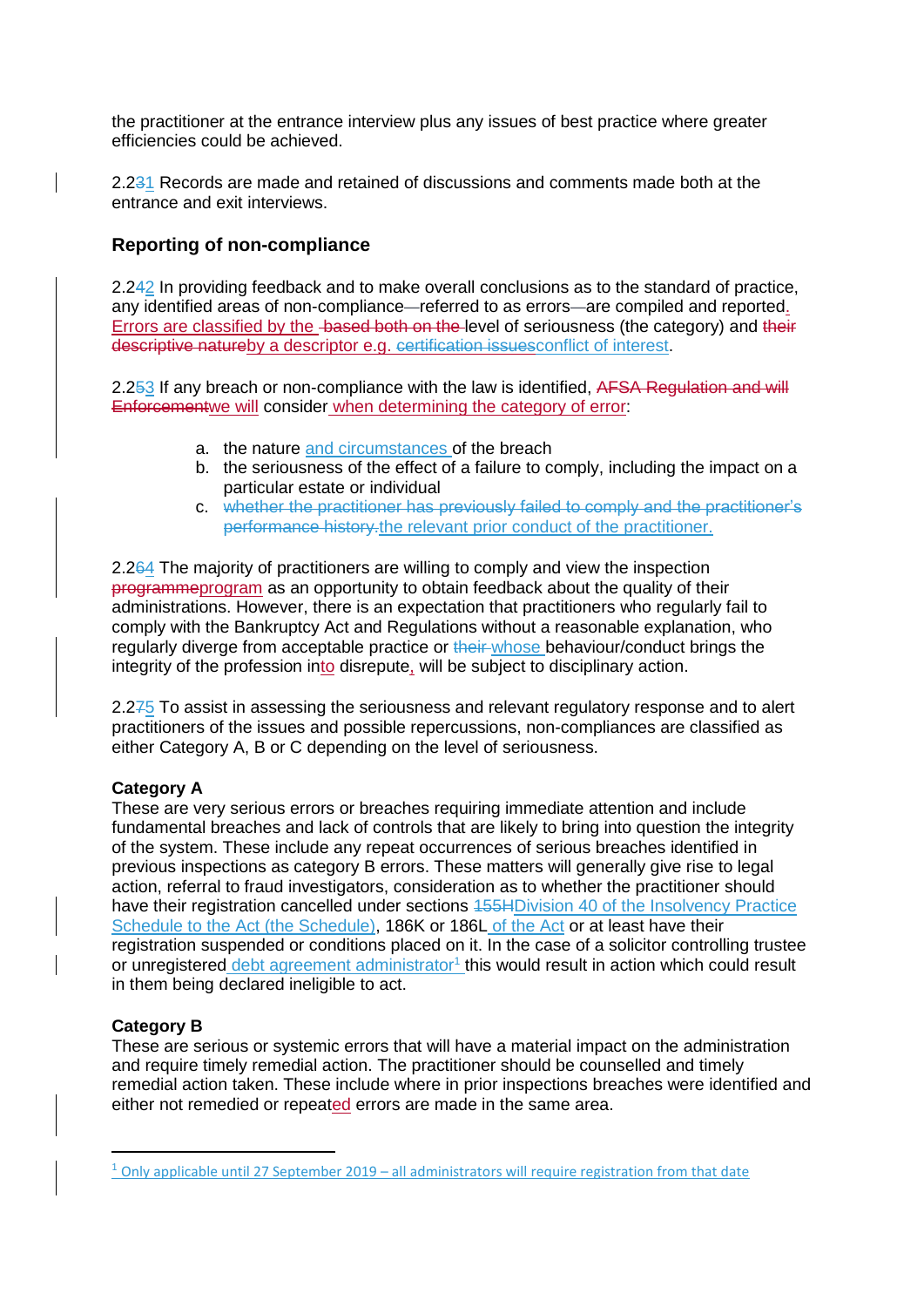the practitioner at the entrance interview plus any issues of best practice where greater efficiencies could be achieved.

2.231 Records are made and retained of discussions and comments made both at the entrance and exit interviews.

## **Reporting of non-compliance**

2.242 In providing feedback and to make overall conclusions as to the standard of practice, any identified areas of non-compliance—referred to as errors—are compiled and reported. Errors are classified by the based both on the level of seriousness (the category) and their descriptive natureby a descriptor e.g. certification issuesconflict of interest.

2.253 If any breach or non-compliance with the law is identified, AFSA Regulation and will Enforcementwe will consider when determining the category of error:

- a. the nature and circumstances of the breach
- b. the seriousness of the effect of a failure to comply, including the impact on a particular estate or individual
- c. whether the practitioner has previously failed to comply and the practitioner's performance history.the relevant prior conduct of the practitioner.

2.264 The majority of practitioners are willing to comply and view the inspection programmeprogram as an opportunity to obtain feedback about the quality of their administrations. However, there is an expectation that practitioners who regularly fail to comply with the Bankruptcy Act and Regulations without a reasonable explanation, who regularly diverge from acceptable practice or their whose behaviour/conduct brings the integrity of the profession into disrepute, will be subject to disciplinary action.

2.275 To assist in assessing the seriousness and relevant regulatory response and to alert practitioners of the issues and possible repercussions, non-compliances are classified as either Category A, B or C depending on the level of seriousness.

#### **Category A**

These are very serious errors or breaches requiring immediate attention and include fundamental breaches and lack of controls that are likely to bring into question the integrity of the system. These include any repeat occurrences of serious breaches identified in previous inspections as category B errors. These matters will generally give rise to legal action, referral to fraud investigators, consideration as to whether the practitioner should have their registration cancelled under sections 455HDivision 40 of the Insolvency Practice Schedule to the Act (the Schedule), 186K or 186L of the Act or at least have their registration suspended or conditions placed on it. In the case of a solicitor controlling trustee or unregistered debt agreement administrator<sup>1</sup> this would result in action which could result in them being declared ineligible to act.

### **Category B**

 $\overline{\phantom{a}}$ 

These are serious or systemic errors that will have a material impact on the administration and require timely remedial action. The practitioner should be counselled and timely remedial action taken. These include where in prior inspections breaches were identified and either not remedied or repeated errors are made in the same area.

<sup>&</sup>lt;sup>1</sup> Only applicable until 27 September 2019 – all administrators will require registration from that date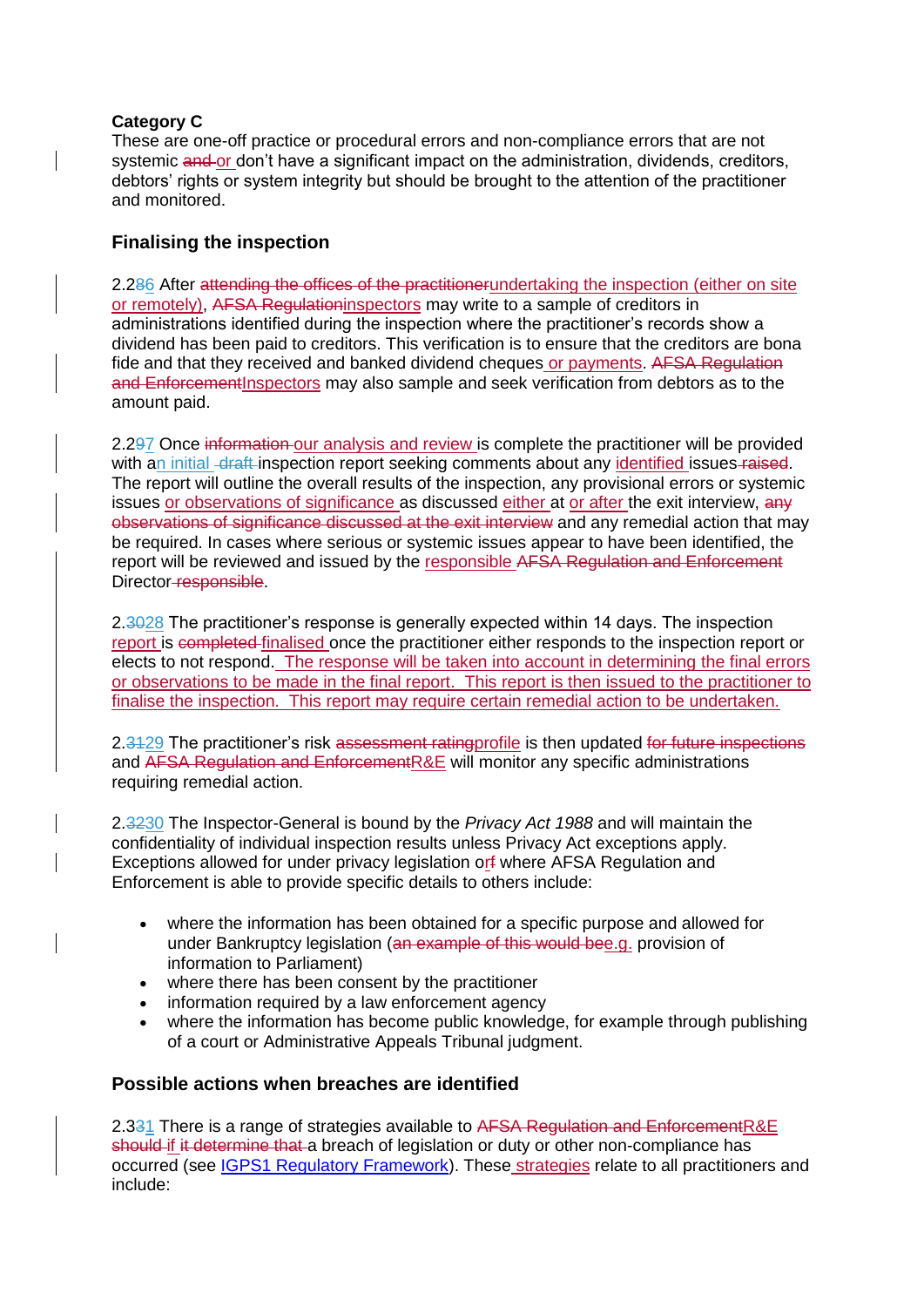## **Category C**

These are one-off practice or procedural errors and non-compliance errors that are not systemic and or don't have a significant impact on the administration, dividends, creditors, debtors' rights or system integrity but should be brought to the attention of the practitioner and monitored.

## **Finalising the inspection**

2.286 After attending the offices of the practitionerundertaking the inspection (either on site or remotely), AFSA Regulationinspectors may write to a sample of creditors in administrations identified during the inspection where the practitioner's records show a dividend has been paid to creditors. This verification is to ensure that the creditors are bona fide and that they received and banked dividend cheques or payments. AFSA Regulation and Enforcement Inspectors may also sample and seek verification from debtors as to the amount paid.

2.297 Once information our analysis and review is complete the practitioner will be provided with an initial draft inspection report seeking comments about any identified issues-raised. The report will outline the overall results of the inspection, any provisional errors or systemic issues or observations of significance as discussed either at or after the exit interview, any observations of significance discussed at the exit interview and any remedial action that may be required. In cases where serious or systemic issues appear to have been identified, the report will be reviewed and issued by the responsible AFSA Regulation and Enforcement Director-responsible.

2.3028 The practitioner's response is generally expected within 14 days. The inspection report is completed finalised once the practitioner either responds to the inspection report or elects to not respond. The response will be taken into account in determining the final errors or observations to be made in the final report. This report is then issued to the practitioner to finalise the inspection. This report may require certain remedial action to be undertaken.

2.3429 The practitioner's risk assessment ratingprofile is then updated for future inspections and AFSA Regulation and EnforcementR&E will monitor any specific administrations requiring remedial action.

2.3230 The Inspector-General is bound by the *Privacy Act 1988* and will maintain the confidentiality of individual inspection results unless Privacy Act exceptions apply. Exceptions allowed for under privacy legislation orf where AFSA Regulation and Enforcement is able to provide specific details to others include:

- where the information has been obtained for a specific purpose and allowed for under Bankruptcy legislation (an example of this would bee.g. provision of information to Parliament)
- where there has been consent by the practitioner
- information required by a law enforcement agency
- where the information has become public knowledge, for example through publishing of a court or Administrative Appeals Tribunal judgment.

## **Possible actions when breaches are identified**

2.331 There is a range of strategies available to AFSA Regulation and EnforcementR&E should if it determine that a breach of legislation or duty or other non-compliance has occurred (see [IGPS1 Regulatory Framework\)](/node/2626). These strategies relate to all practitioners and include: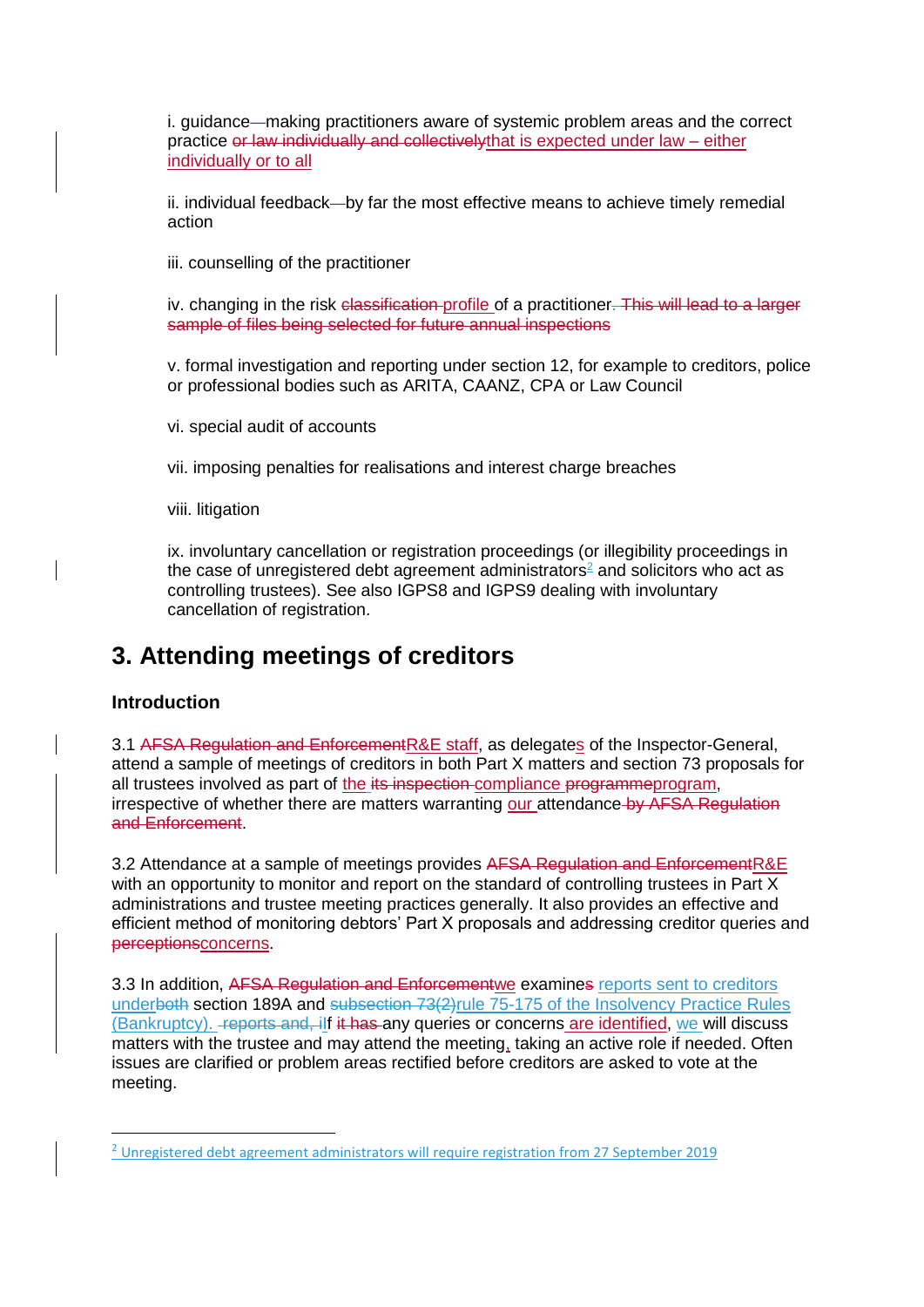i. guidance—making practitioners aware of systemic problem areas and the correct practice or law individually and collectivelythat is expected under law – either individually or to all

ii. individual feedback—by far the most effective means to achieve timely remedial action

iii. counselling of the practitioner

iv. changing in the risk classification profile of a practitioner. This will lead to a larger sample of files being selected for future annual inspections

v. formal investigation and reporting under section 12, for example to creditors, police or professional bodies such as ARITA, CAANZ, CPA or Law Council

vi. special audit of accounts

vii. imposing penalties for realisations and interest charge breaches

viii. litigation

ix. involuntary cancellation or registration proceedings (or illegibility proceedings in the case of unregistered debt agreement administrators $2$  and solicitors who act as controlling trustees). See also IGPS8 and IGPS9 dealing with involuntary cancellation of registration.

## **3. Attending meetings of creditors**

### **Introduction**

**.** 

3.1 AFSA Regulation and EnforcementR&E staff, as delegates of the Inspector-General, attend a sample of meetings of creditors in both Part X matters and section 73 proposals for all trustees involved as part of the its inspection compliance programmeprogram, irrespective of whether there are matters warranting our attendance by AFSA Regulation and Enforcement.

3.2 Attendance at a sample of meetings provides AFSA Regulation and EnforcementR&E with an opportunity to monitor and report on the standard of controlling trustees in Part X administrations and trustee meeting practices generally. It also provides an effective and efficient method of monitoring debtors' Part X proposals and addressing creditor queries and perceptionsconcerns.

3.3 In addition, AFSA Regulation and Enforcementwe examines reports sent to creditors underboth section 189A and subsection 73(2) rule 75-175 of the Insolvency Practice Rules (Bankruptcy). Feports and, ilf it has any queries or concerns are identified, we will discuss matters with the trustee and may attend the meeting, taking an active role if needed. Often issues are clarified or problem areas rectified before creditors are asked to vote at the meeting.

<sup>&</sup>lt;sup>2</sup> Unregistered debt agreement administrators will require registration from 27 September 2019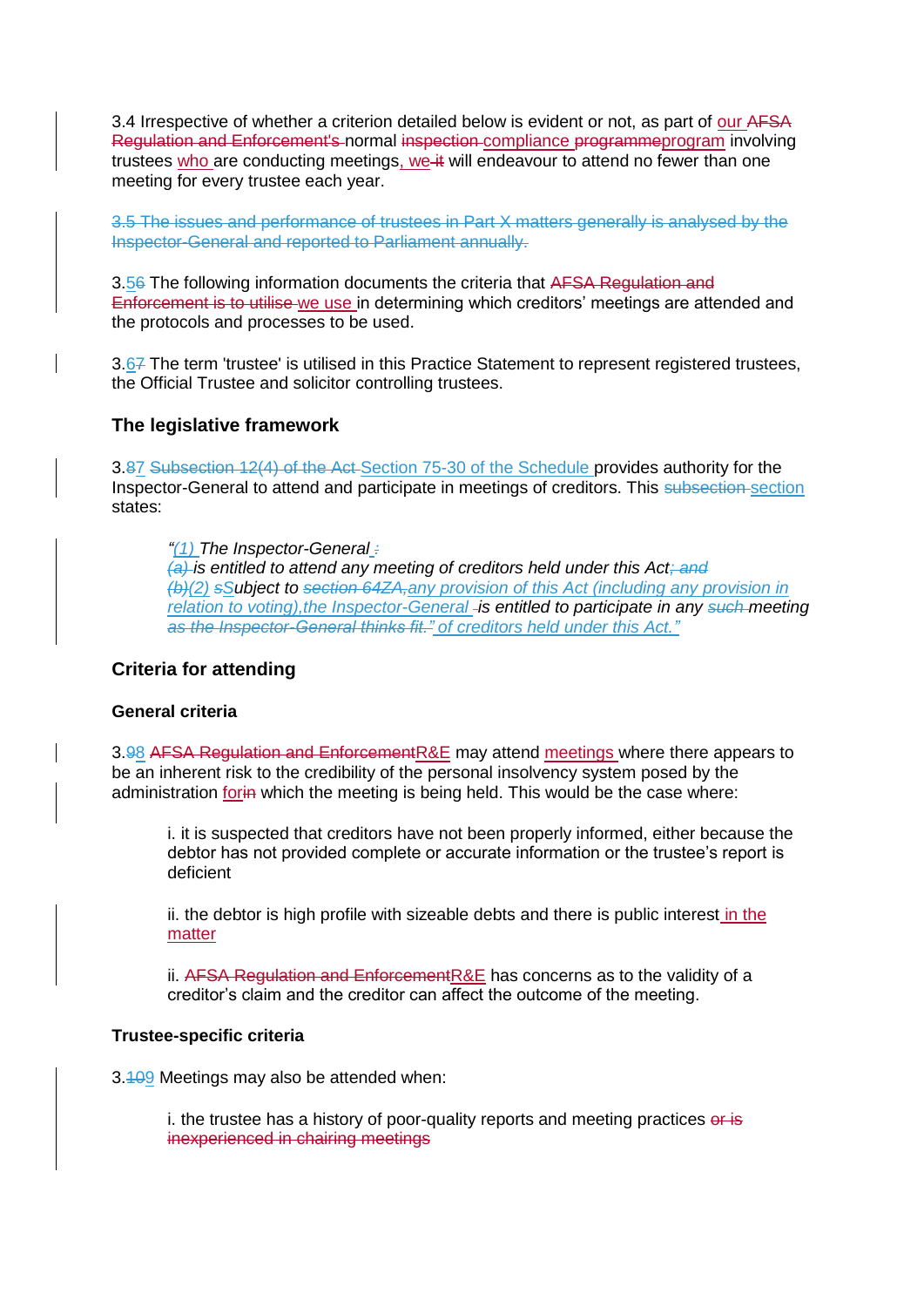3.4 Irrespective of whether a criterion detailed below is evident or not, as part of our AFSA Regulation and Enforcement's normal inspection compliance programmeprogram involving trustees who are conducting meetings, we it will endeavour to attend no fewer than one meeting for every trustee each year.

3.5 The issues and performance of trustees in Part X matters generally is analysed by the Inspector-General and reported to Parliament annually.

3.56 The following information documents the criteria that AFSA Regulation and Enforcement is to utilise we use in determining which creditors' meetings are attended and the protocols and processes to be used.

3.67 The term 'trustee' is utilised in this Practice Statement to represent registered trustees, the Official Trustee and solicitor controlling trustees.

### **The legislative framework**

3.87 Subsection 12(4) of the Act Section 75-30 of the Schedule provides authority for the Inspector-General to attend and participate in meetings of creditors. This subsection section states:

*"(1) The Inspector-General :*

*(a) is entitled to attend any meeting of creditors held under this Act; and (b)(2) sSubject to section 64ZA,any provision of this Act (including any provision in relation to voting), the Inspector-General - is entitled to participate in any such meeting as the Inspector-General thinks fit." of creditors held under this Act."*

### **Criteria for attending**

#### **General criteria**

3.98 AFSA Regulation and EnforcementR&E may attend meetings where there appears to be an inherent risk to the credibility of the personal insolvency system posed by the administration for in which the meeting is being held. This would be the case where:

i. it is suspected that creditors have not been properly informed, either because the debtor has not provided complete or accurate information or the trustee's report is deficient

ii. the debtor is high profile with sizeable debts and there is public interest in the matter

ii. AFSA Regulation and EnforcementR&E has concerns as to the validity of a creditor's claim and the creditor can affect the outcome of the meeting.

#### **Trustee-specific criteria**

3.409 Meetings may also be attended when:

i. the trustee has a history of poor-quality reports and meeting practices or is inexperienced in chairing meetings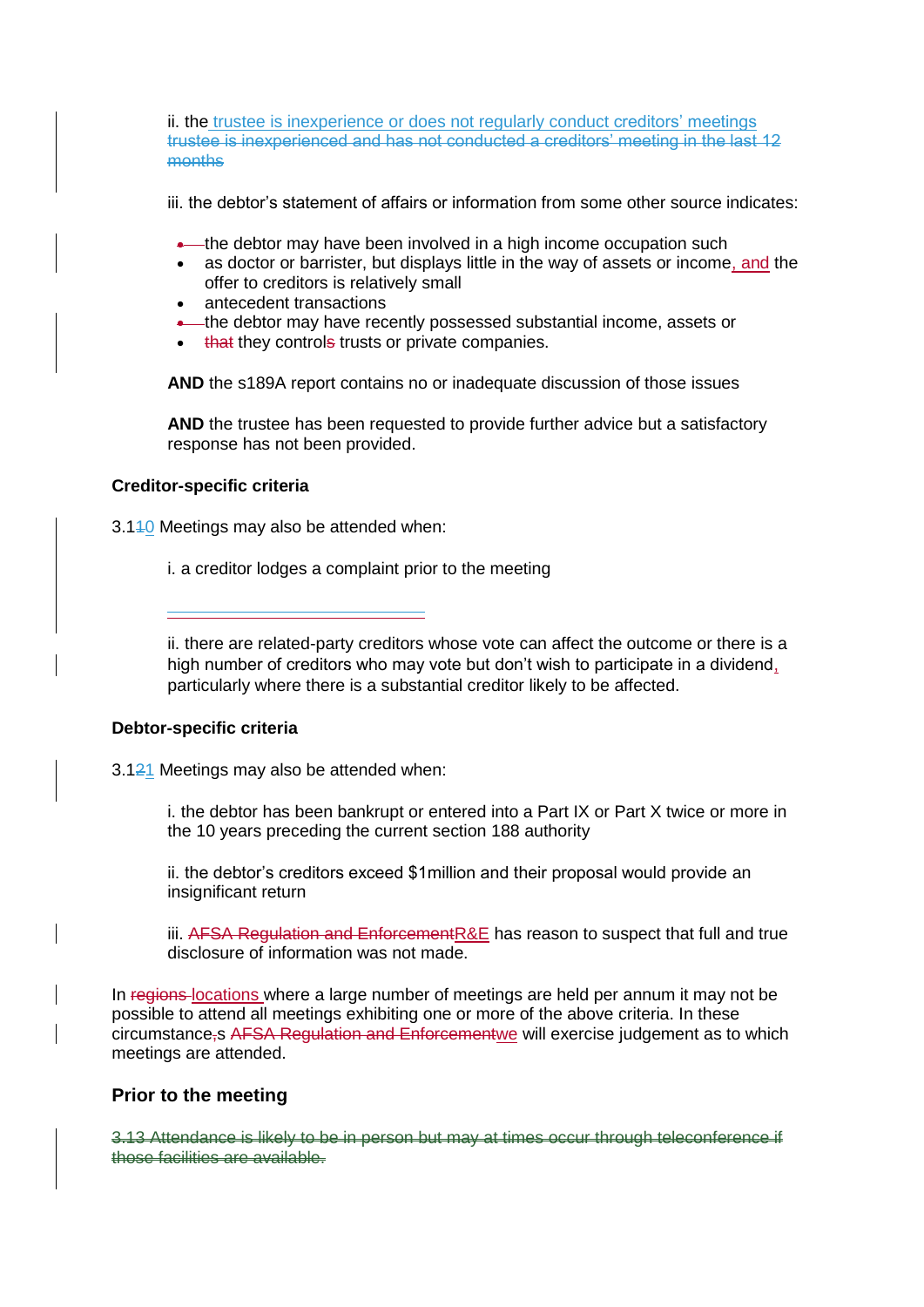ii. the trustee is inexperience or does not regularly conduct creditors' meetings trustee is inexperienced and has not conducted a creditors' meeting in the last 12 months

iii. the debtor's statement of affairs or information from some other source indicates:

- **•**—the debtor may have been involved in a high income occupation such
- as doctor or barrister, but displays little in the way of assets or income, and the offer to creditors is relatively small
- antecedent transactions
- **•** the debtor may have recently possessed substantial income, assets or
- that they controls trusts or private companies.

**AND** the s189A report contains no or inadequate discussion of those issues

**AND** the trustee has been requested to provide further advice but a satisfactory response has not been provided.

### **Creditor-specific criteria**

3.140 Meetings may also be attended when:

i. a creditor lodges a complaint prior to the meeting

ii. there are related-party creditors whose vote can affect the outcome or there is a high number of creditors who may vote but don't wish to participate in a dividend, particularly where there is a substantial creditor likely to be affected.

### **Debtor-specific criteria**

3.121 Meetings may also be attended when:

i. the debtor has been bankrupt or entered into a Part IX or Part X twice or more in the 10 years preceding the current section 188 authority

ii. the debtor's creditors exceed \$1million and their proposal would provide an insignificant return

iii. AFSA Regulation and Enforcement R&E has reason to suspect that full and true disclosure of information was not made.

In regions locations where a large number of meetings are held per annum it may not be possible to attend all meetings exhibiting one or more of the above criteria. In these circumstance,s AFSA Regulation and Enforcementwe will exercise judgement as to which meetings are attended.

### **Prior to the meeting**

3.13 Attendance is likely to be in person but may at times occur through teleconference if those facilities are available.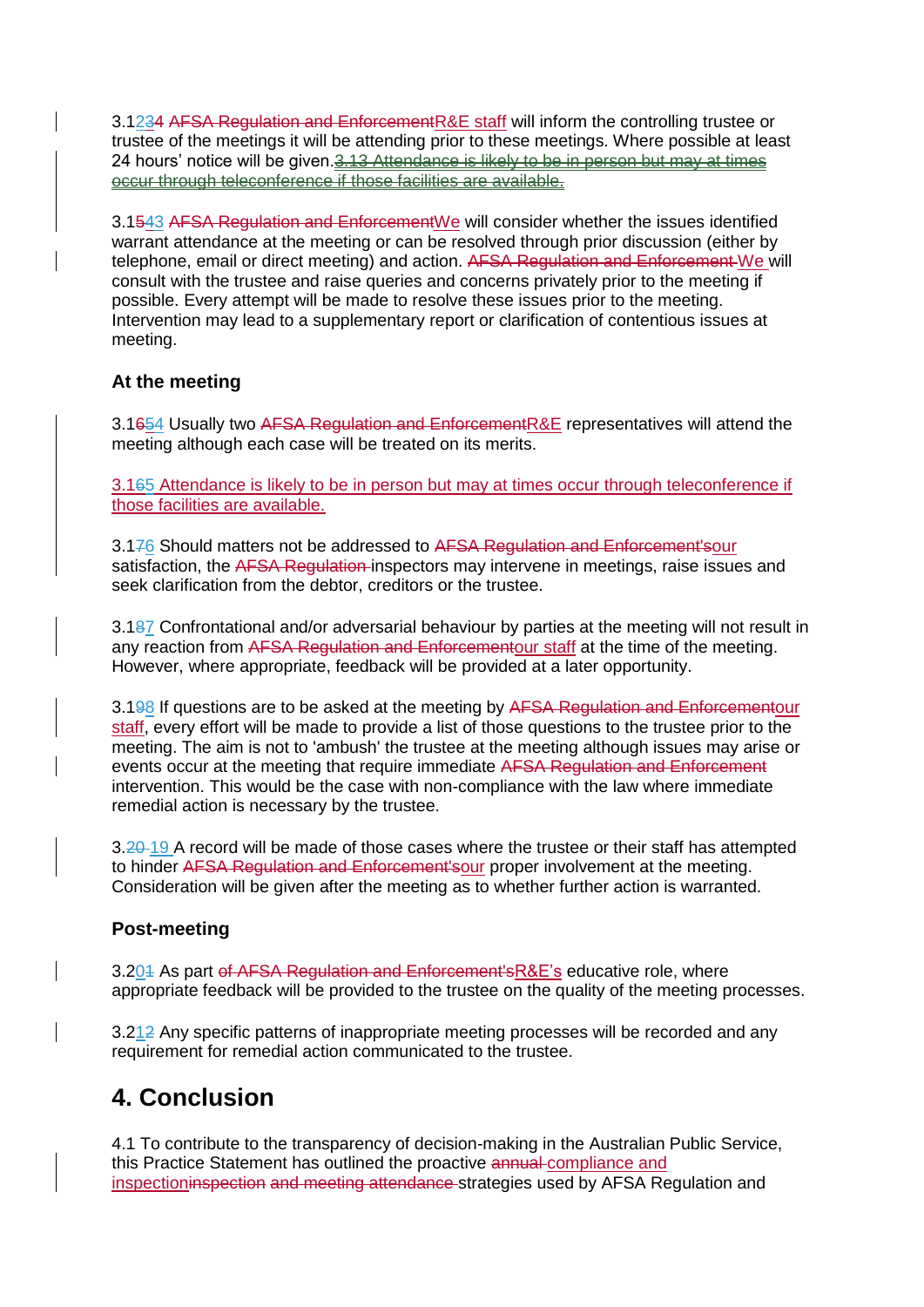3.1234 AFSA Regulation and EnforcementR&E staff will inform the controlling trustee or trustee of the meetings it will be attending prior to these meetings. Where possible at least 24 hours' notice will be given. 3.13 Attendance is likely to be in person but may at times occur through teleconference if those facilities are available.

3.1543 AFSA Regulation and EnforcementWe will consider whether the issues identified warrant attendance at the meeting or can be resolved through prior discussion (either by telephone, email or direct meeting) and action. AFSA Regulation and Enforcement We will consult with the trustee and raise queries and concerns privately prior to the meeting if possible. Every attempt will be made to resolve these issues prior to the meeting. Intervention may lead to a supplementary report or clarification of contentious issues at meeting.

## **At the meeting**

3.1654 Usually two AFSA Regulation and Enforcement R&E representatives will attend the meeting although each case will be treated on its merits.

3.165 Attendance is likely to be in person but may at times occur through teleconference if those facilities are available.

3.176 Should matters not be addressed to AFSA Regulation and Enforcement'sour satisfaction, the AFSA Regulation inspectors may intervene in meetings, raise issues and seek clarification from the debtor, creditors or the trustee.

3.187 Confrontational and/or adversarial behaviour by parties at the meeting will not result in any reaction from AFSA Regulation and Enforcementour staff at the time of the meeting. However, where appropriate, feedback will be provided at a later opportunity.

3.198 If questions are to be asked at the meeting by AFSA Regulation and Enforcementour staff, every effort will be made to provide a list of those questions to the trustee prior to the meeting. The aim is not to 'ambush' the trustee at the meeting although issues may arise or events occur at the meeting that require immediate AFSA Regulation and Enforcement intervention. This would be the case with non-compliance with the law where immediate remedial action is necessary by the trustee.

3.20 19 A record will be made of those cases where the trustee or their staff has attempted to hinder AFSA Regulation and Enforcement'sour proper involvement at the meeting. Consideration will be given after the meeting as to whether further action is warranted.

## **Post-meeting**

3.201 As part of AFSA Regulation and Enforcement'sR&E's educative role, where appropriate feedback will be provided to the trustee on the quality of the meeting processes.

3.212 Any specific patterns of inappropriate meeting processes will be recorded and any requirement for remedial action communicated to the trustee.

# **4. Conclusion**

4.1 To contribute to the transparency of decision-making in the Australian Public Service, this Practice Statement has outlined the proactive annual compliance and inspectioninspection and meeting attendance strategies used by AFSA Regulation and